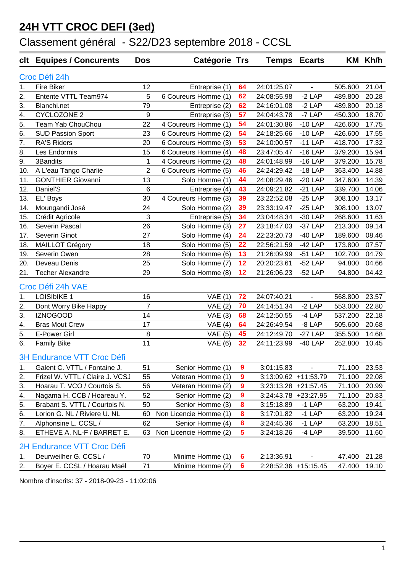#### **24H VTT CROC DEFI (3ed)**

# Classement général - S22/D23 septembre 2018 - CCSL

| clt                               | <b>Equipes / Concurents</b>     | <b>Dos</b>     | Catégorie Trs          |                 |                      | <b>Temps Ecarts</b> |         | KM Kh/h |  |
|-----------------------------------|---------------------------------|----------------|------------------------|-----------------|----------------------|---------------------|---------|---------|--|
| Croc Défi 24h                     |                                 |                |                        |                 |                      |                     |         |         |  |
| 1.                                | <b>Fire Biker</b>               | 12             | Entreprise (1)         | 64              | 24:01:25.07          | $\blacksquare$      | 505.600 | 21.04   |  |
| 2.                                | Entente VTTL Team974            | 5              | 6 Coureurs Homme (1)   | 62              | 24:08:55.98          | $-2$ LAP            | 489.800 | 20.28   |  |
| 3.                                | Blanchi.net                     | 79             | Entreprise (2)         | 62              | 24:16:01.08          | $-2$ LAP            | 489.800 | 20.18   |  |
| 4.                                | <b>CYCLOZONE 2</b>              | 9              | Entreprise (3)         | 57              | 24:04:43.78          | -7 LAP              | 450.300 | 18.70   |  |
| 5.                                | Team Yab ChouChou               | 22             | 4 Coureurs Homme (1)   | 54              | 24:01:30.86          | $-10$ LAP           | 426.600 | 17.75   |  |
| 6.                                | <b>SUD Passion Sport</b>        | 23             | 6 Coureurs Homme (2)   | 54              | 24:18:25.66          | $-10$ LAP           | 426.600 | 17.55   |  |
| $\overline{7}$ .                  | RA'S Riders                     | 20             | 6 Coureurs Homme (3)   | 53              | 24:10:00.57          | $-11$ LAP           | 418.700 | 17.32   |  |
| 8.                                | Les Endormis                    | 15             | 6 Coureurs Homme (4)   | 48              | 23:47:05.47          | $-16$ LAP           | 379.200 | 15.94   |  |
| 9.                                | 3Bandits                        | $\mathbf 1$    | 4 Coureurs Homme (2)   | 48              | 24:01:48.99          | $-16$ LAP           | 379.200 | 15.78   |  |
| 10.                               | A L'eau Tango Charlie           | $\overline{2}$ | 6 Coureurs Homme (5)   | 46              | 24:24:29.42          | $-18$ LAP           | 363.400 | 14.88   |  |
| 11.                               | <b>GONTHIER Giovanni</b>        | 13             | Solo Homme (1)         | 44              | 24:08:29.46          | $-20$ LAP           | 347.600 | 14.39   |  |
| 12.                               | Daniel'S                        | 6              | Entreprise (4)         | 43              | 24:09:21.82          | $-21$ LAP           | 339.700 | 14.06   |  |
| 13.                               | EL' Boys                        | 30             | 4 Coureurs Homme (3)   | 39              | 23:22:52.08          | $-25$ LAP           | 308.100 | 13.17   |  |
| 14.                               | Moungandi José                  | 24             | Solo Homme (2)         | 39              | 23:33:19.47          | $-25$ LAP           | 308.100 | 13.07   |  |
| 15.                               | Crédit Agricole                 | 3              | Entreprise (5)         | 34              | 23:04:48.34          | $-30$ LAP           | 268.600 | 11.63   |  |
| 16.                               | Severin Pascal                  | 26             | Solo Homme (3)         | 27              | 23:18:47.03          | -37 LAP             | 213.300 | 09.14   |  |
| 17.                               | Severin Ginot                   | 27             | Solo Homme (4)         | 24              | 22:23:20.73          | $-40$ LAP           | 189.600 | 08.46   |  |
| 18.                               | <b>MAILLOT Grégory</b>          | 18             | Solo Homme (5)         | 22              | 22:56:21.59          | $-42$ LAP           | 173.800 | 07.57   |  |
| 19.                               | Severin Owen                    | 28             | Solo Homme (6)         | 13              | 21:26:09.99          | $-51$ LAP           | 102.700 | 04.79   |  |
| 20.                               | Deveau Denis                    | 25             | Solo Homme (7)         | 12              | 20:20:23.61          | $-52$ LAP           | 94.800  | 04.66   |  |
| 21.                               | <b>Techer Alexandre</b>         | 29             | Solo Homme (8)         | 12              | 21:26:06.23          | $-52$ LAP           | 94.800  | 04.42   |  |
|                                   | Croc Défi 24h VAE               |                |                        |                 |                      |                     |         |         |  |
| 1.                                | <b>LOISIbIKE 1</b>              | 16             | VAE(1)                 | 72              | 24:07:40.21          | $\blacksquare$      | 568.800 | 23.57   |  |
| 2.                                | Dont Worry Bike Happy           | $\overline{7}$ | VAE(2)                 | 70              | 24:14:51.34          | $-2$ LAP            | 553.000 | 22.80   |  |
| 3.                                | <b>IZNOGOOD</b>                 | 14             | VAE(3)                 | 68              | 24:12:50.55          | $-4$ LAP            | 537.200 | 22.18   |  |
| 4.                                | <b>Bras Mout Crew</b>           | 17             | VAE $(4)$              | 64              | 24:26:49.54          | $-8$ LAP            | 505.600 | 20.68   |  |
| 5.                                | E-Power Girl                    | 8              | <b>VAE</b> (5)         | 45              | 24:12:49.70          | $-27$ LAP           | 355.500 | 14.68   |  |
| 6.                                | <b>Family Bike</b>              | 11             | VAE(6)                 | 32              | 24:11:23.99          | $-40$ LAP           | 252.800 | 10.45   |  |
| <b>3H Endurance VTT Croc Défi</b> |                                 |                |                        |                 |                      |                     |         |         |  |
| 1.                                | Galent C. VTTL / Fontaine J.    | 51             | Senior Homme (1)       | 9               | 3:01:15.83           | $\blacksquare$      | 71.100  | 23.53   |  |
| 2.                                | Frizel W. VTTL / Claire J. VCSJ | 55             | Veteran Homme (1)      | 9               | 3:13:09.62 +11:53.79 |                     | 71.100  | 22.08   |  |
| 3.                                | Hoarau T. VCO / Courtois S.     | 56             | Veteran Homme (2)      | 9               | 3:23:13.28 +21:57.45 |                     | 71.100  | 20.99   |  |
| 4.                                | Nagama H. CCB / Hoareau Y.      | 52             | Senior Homme (2)       | 9               | 3:24:43.78 +23:27.95 |                     | 71.100  | 20.83   |  |
| 5.                                | Brabant S. VTTL / Courtois N.   | 50             | Senior Homme (3)       | 8               | 3:15:18.89           | $-1$ LAP            | 63.200  | 19.41   |  |
| 6.                                | Lorion G. NL / Riviere U. NL    | 60             | Non Licencie Homme (1) | 8               | 3:17:01.82           | $-1$ LAP            | 63.200  | 19.24   |  |
| 7.                                | Alphonsine L. CCSL /            | 62             | Senior Homme (4)       | 8               | 3:24:45.36           | $-1$ LAP            | 63.200  | 18.51   |  |
| 8.                                | ETHEVE A. NL-F / BARRET E.      | 63             | Non Licencie Homme (2) | $5\phantom{a}$  | 3:24:18.26           | $-4$ LAP            | 39.500  | 11.60   |  |
|                                   | 2H Endurance VTT Croc Défi      |                |                        |                 |                      |                     |         |         |  |
| 1.                                | Deurweilher G. CCSL /           | 70             | Minime Homme (1)       | 6               | 2:13:36.91           | $\blacksquare$      | 47.400  | 21.28   |  |
| 2.                                | Boyer E. CCSL / Hoarau Maël     | 71             | Minime Homme (2)       | $6\phantom{1}6$ | 2:28:52.36 +15:15.45 |                     | 47.400  | 19.10   |  |

Nombre d'inscrits: 37 - 2018-09-23 - 11:02:06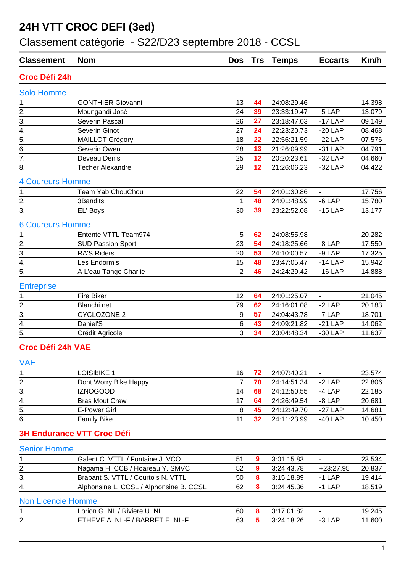### **24H VTT CROC DEFI (3ed)**

## Classement catégorie - S22/D23 septembre 2018 - CCSL

| <b>Classement</b>         | <b>Nom</b>                              | <b>Dos</b>     | <b>Trs</b>       | <b>Temps</b> | <b>Eccarts</b>           | Km/h   |
|---------------------------|-----------------------------------------|----------------|------------------|--------------|--------------------------|--------|
| Croc Défi 24h             |                                         |                |                  |              |                          |        |
| <b>Solo Homme</b>         |                                         |                |                  |              |                          |        |
| 1.                        | <b>GONTHIER Giovanni</b>                | 13             | 44               | 24:08:29.46  | $\overline{\phantom{a}}$ | 14.398 |
| 2.                        | Moungandi José                          | 24             | 39               | 23:33:19.47  | $-5$ LAP                 | 13.079 |
| $\overline{3}$ .          | Severin Pascal                          | 26             | 27               | 23:18:47.03  | $-17$ LAP                | 09.149 |
| $\overline{4}$ .          | Severin Ginot                           | 27             | 24               | 22:23:20.73  | $-20$ LAP                | 08.468 |
| $\overline{5}$ .          | <b>MAILLOT Grégory</b>                  | 18             | 22               | 22:56:21.59  | $-22$ LAP                | 07.576 |
| 6.                        | Severin Owen                            | 28             | 13               | 21:26:09.99  | $-31$ LAP                | 04.791 |
| $\overline{7}$ .          | Deveau Denis                            | 25             | 12               | 20:20:23.61  | $-32$ LAP                | 04.660 |
| $\overline{8}$ .          | <b>Techer Alexandre</b>                 | 29             | 12               | 21:26:06.23  | $-32$ LAP                | 04.422 |
| <b>4 Coureurs Homme</b>   |                                         |                |                  |              |                          |        |
| 1.                        | Team Yab ChouChou                       | 22             | 54               | 24:01:30.86  | $\overline{\phantom{a}}$ | 17.756 |
| $\frac{2}{3}$ .           | 3Bandits                                | 1              | 48               | 24:01:48.99  | $-6$ LAP                 | 15.780 |
|                           | EL' Boys                                | 30             | 39               | 23:22:52.08  | $-15$ LAP                | 13.177 |
| <b>6 Coureurs Homme</b>   |                                         |                |                  |              |                          |        |
| 1.                        | Entente VTTL Team974                    | 5              | 62               | 24:08:55.98  | $\blacksquare$           | 20.282 |
|                           | <b>SUD Passion Sport</b>                | 23             | 54               | 24:18:25.66  | $-8$ LAP                 | 17.550 |
| $\frac{2}{3}$ .<br>4.     | <b>RA'S Riders</b>                      | 20             | 53               | 24:10:00.57  | $-9$ LAP                 | 17.325 |
|                           | Les Endormis                            | 15             | 48               | 23:47:05.47  | $-14$ LAP                | 15.942 |
| $\overline{5}$ .          | A L'eau Tango Charlie                   | $\overline{2}$ | 46               | 24:24:29.42  | $-16$ LAP                | 14.888 |
| <b>Entreprise</b>         |                                         |                |                  |              |                          |        |
| $\overline{1}$ .          | <b>Fire Biker</b>                       | 12             | 64               | 24:01:25.07  | $\blacksquare$           | 21.045 |
| $\overline{2}$ .          | Blanchi.net                             | 79             | 62               | 24:16:01.08  | $-2$ LAP                 | 20.183 |
| $\overline{3}$ .          | <b>CYCLOZONE 2</b>                      | 9              | 57               | 24:04:43.78  | -7 LAP                   | 18.701 |
| 4.                        | Daniel'S                                | 6              | 43               | 24:09:21.82  | $-21$ LAP                | 14.062 |
| 5.                        | Crédit Agricole                         | 3              | 34               | 23:04:48.34  | $-30$ LAP                | 11.637 |
| <b>Croc Défi 24h VAE</b>  |                                         |                |                  |              |                          |        |
| <b>VAE</b>                |                                         |                |                  |              |                          |        |
| 1.                        | <b>LOISIbIKE 1</b>                      | 16             | 72               | 24:07:40.21  |                          | 23.574 |
| 2.                        | Dont Worry Bike Happy                   | $\overline{7}$ | 70               | 24:14:51.34  | $-2$ LAP                 | 22.806 |
| 3.                        | <b>IZNOGOOD</b>                         | 14             | 68               | 24:12:50.55  | $-4$ LAP                 | 22.185 |
|                           | <b>Bras Mout Crew</b>                   | 17             | 64               | 24:26:49.54  | $-8$ LAP                 | 20.681 |
| $\frac{4}{5}$             | <b>E-Power Girl</b>                     | 8              | 45               | 24:12:49.70  | $-27$ LAP                | 14.681 |
| 6.                        | <b>Family Bike</b>                      | 11             | 32               | 24:11:23.99  | $-40$ LAP                | 10.450 |
|                           |                                         |                |                  |              |                          |        |
|                           | <b>3H Endurance VTT Croc Défi</b>       |                |                  |              |                          |        |
| <b>Senior Homme</b>       |                                         |                |                  |              |                          |        |
| 1.                        | Galent C. VTTL / Fontaine J. VCO        | 51             | $\boldsymbol{9}$ | 3:01:15.83   |                          | 23.534 |
| $\overline{2}$ .          | Nagama H. CCB / Hoareau Y. SMVC         | 52             | $\boldsymbol{9}$ | 3:24:43.78   | $+23:27.95$              | 20.837 |
| $\overline{3}$ .          | Brabant S. VTTL / Courtois N. VTTL      | 50             | 8                | 3:15:18.89   | $-1$ LAP                 | 19.414 |
| 4.                        | Alphonsine L. CCSL / Alphonsine B. CCSL | 62             | 8                | 3:24:45.36   | $-1$ LAP                 | 18.519 |
| <b>Non Licencie Homme</b> |                                         |                |                  |              |                          |        |
| 1.                        | Lorion G. NL / Riviere U. NL            | 60             | 8                | 3:17:01.82   | $\blacksquare$           | 19.245 |
| 2.                        | ETHEVE A. NL-F / BARRET E. NL-F         | 63             | 5                | 3:24:18.26   | $-3$ LAP                 | 11.600 |